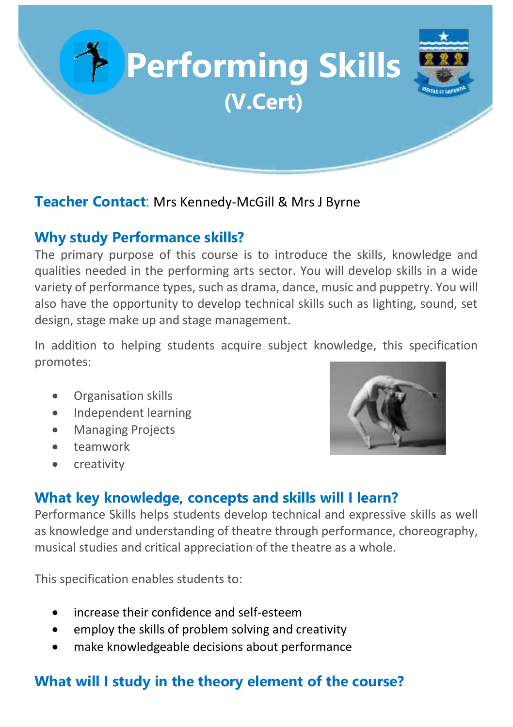

#### **Teacher Contact**: Mrs Kennedy-McGill & Mrs J Byrne

### **Why study Performance skills?**

The primary purpose of this course is to introduce the skills, knowledge and qualities needed in the performing arts sector. You will develop skills in a wide variety of performance types, such as drama, dance, music and puppetry. You will also have the opportunity to develop technical skills such as lighting, sound, set design, stage make up and stage management.

In addition to helping students acquire subject knowledge, this specification promotes:

- Organisation skills
- Independent learning
- Managing Projects
- teamwork
- creativity



## **What key knowledge, concepts and skills will I learn?**

Performance Skills helps students develop technical and expressive skills as well as knowledge and understanding of theatre through performance, choreography, musical studies and critical appreciation of the theatre as a whole.

This specification enables students to:

- increase their confidence and self-esteem
- employ the skills of problem solving and creativity
- make knowledgeable decisions about performance

# **What will I study in the theory element of the course?**